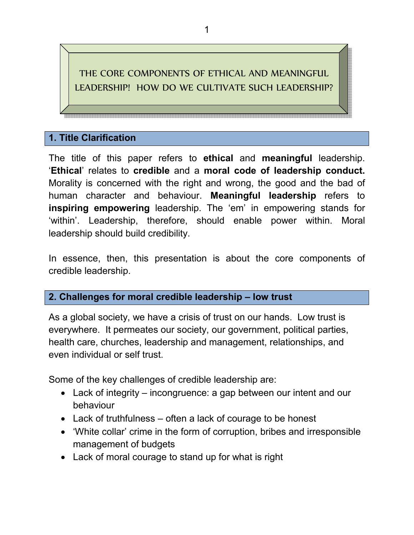# THE CORE COMPONENTS OF ETHICAL AND MEANINGFUL LEADERSHIP! HOW DO WE CULTIVATE SUCH LEADERSHIP?

#### **1. Title Clarification**

The title of this paper refers to **ethical** and **meaningful** leadership. '**Ethical**' relates to **credible** and a **moral code of leadership conduct.** Morality is concerned with the right and wrong, the good and the bad of human character and behaviour. **Meaningful leadership** refers to **inspiring empowering** leadership. The 'em' in empowering stands for 'within'. Leadership, therefore, should enable power within. Moral leadership should build credibility.

In essence, then, this presentation is about the core components of credible leadership.

#### **2. Challenges for moral credible leadership – low trust**

As a global society, we have a crisis of trust on our hands. Low trust is everywhere. It permeates our society, our government, political parties, health care, churches, leadership and management, relationships, and even individual or self trust.

Some of the key challenges of credible leadership are:

- Lack of integrity incongruence: a gap between our intent and our behaviour
- Lack of truthfulness often a lack of courage to be honest
- 'White collar' crime in the form of corruption, bribes and irresponsible management of budgets
- Lack of moral courage to stand up for what is right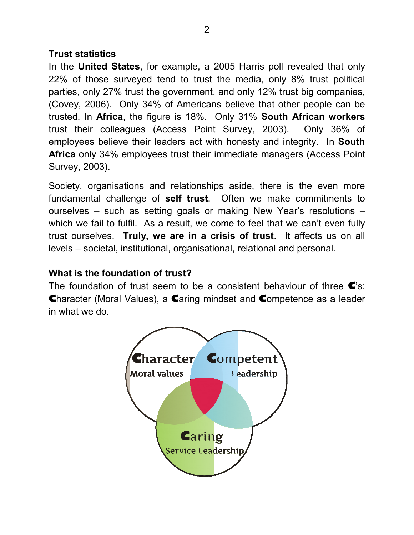#### **Trust statistics**

In the **United States**, for example, a 2005 Harris poll revealed that only 22% of those surveyed tend to trust the media, only 8% trust political parties, only 27% trust the government, and only 12% trust big companies, (Covey, 2006). Only 34% of Americans believe that other people can be trusted. In **Africa**, the figure is 18%. Only 31% **South African workers** trust their colleagues (Access Point Survey, 2003). Only 36% of employees believe their leaders act with honesty and integrity. In **South Africa** only 34% employees trust their immediate managers (Access Point Survey, 2003).

Society, organisations and relationships aside, there is the even more fundamental challenge of **self trust**. Often we make commitments to ourselves – such as setting goals or making New Year's resolutions – which we fail to fulfil. As a result, we come to feel that we can't even fully trust ourselves. **Truly, we are in a crisis of trust**. It affects us on all levels – societal, institutional, organisational, relational and personal.

## **What is the foundation of trust?**

The foundation of trust seem to be a consistent behaviour of three  $\blacktriangle$ 's: Character (Moral Values), a Caring mindset and Competence as a leader in what we do.

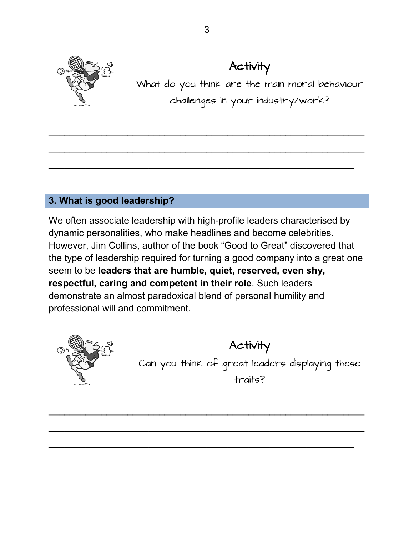

# Activity

What do you think are the main moral behaviour challenges in your industry/work?

# **3. What is good leadership?**

We often associate leadership with high-profile leaders characterised by dynamic personalities, who make headlines and become celebrities. However, Jim Collins, author of the book "Good to Great" discovered that the type of leadership required for turning a good company into a great one seem to be **leaders that are humble, quiet, reserved, even shy, respectful, caring and competent in their role**. Such leaders demonstrate an almost paradoxical blend of personal humility and professional will and commitment.

\_\_\_\_\_\_\_\_\_\_\_\_\_\_\_\_\_\_\_\_\_\_\_\_\_\_\_\_\_\_\_\_\_\_\_\_\_\_\_\_\_\_\_\_\_\_\_\_\_\_\_\_\_\_\_\_\_\_\_\_

\_\_\_\_\_\_\_\_\_\_\_\_\_\_\_\_\_\_\_\_\_\_\_\_\_\_\_\_\_\_\_\_\_\_\_\_\_\_\_\_\_\_\_\_\_\_\_\_\_\_\_\_\_\_\_\_\_\_\_\_

\_\_\_\_\_\_\_\_\_\_\_\_\_\_\_\_\_\_\_\_\_\_\_\_\_\_\_\_\_\_\_\_\_\_\_\_\_\_\_\_\_\_\_\_\_\_\_\_\_\_\_\_\_\_\_\_\_\_



Activity Can you think of great leaders displaying these traits?

\_\_\_\_\_\_\_\_\_\_\_\_\_\_\_\_\_\_\_\_\_\_\_\_\_\_\_\_\_\_\_\_\_\_\_\_\_\_\_\_\_\_\_\_\_\_\_\_\_\_\_\_\_\_\_\_\_\_\_\_

\_\_\_\_\_\_\_\_\_\_\_\_\_\_\_\_\_\_\_\_\_\_\_\_\_\_\_\_\_\_\_\_\_\_\_\_\_\_\_\_\_\_\_\_\_\_\_\_\_\_\_\_\_\_\_\_\_\_\_\_

\_\_\_\_\_\_\_\_\_\_\_\_\_\_\_\_\_\_\_\_\_\_\_\_\_\_\_\_\_\_\_\_\_\_\_\_\_\_\_\_\_\_\_\_\_\_\_\_\_\_\_\_\_\_\_\_\_\_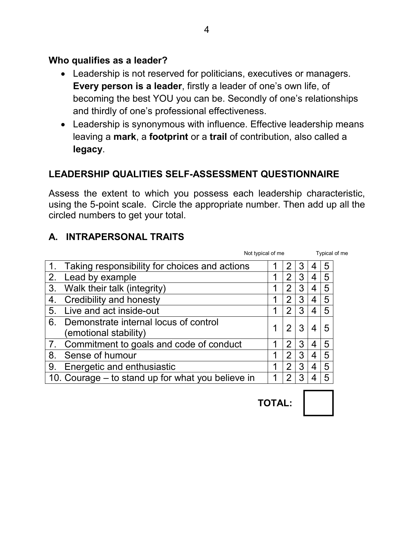#### **Who qualifies as a leader?**

- Leadership is not reserved for politicians, executives or managers. **Every person is a leader**, firstly a leader of one's own life, of becoming the best YOU you can be. Secondly of one's relationships and thirdly of one's professional effectiveness.
- Leadership is synonymous with influence. Effective leadership means leaving a **mark**, a **footprint** or a **trail** of contribution, also called a **legacy**.

## **LEADERSHIP QUALITIES SELF-ASSESSMENT QUESTIONNAIRE**

Assess the extent to which you possess each leadership characteristic, using the 5-point scale. Circle the appropriate number. Then add up all the circled numbers to get your total.

#### **A. INTRAPERSONAL TRAITS**

|    |                                                                | Not typical of me |                |   | Typical of me |   |  |
|----|----------------------------------------------------------------|-------------------|----------------|---|---------------|---|--|
|    | Taking responsibility for choices and actions                  |                   |                | 3 |               | 5 |  |
| 2. | Lead by example                                                |                   | 2              | 3 | 4             | 5 |  |
| 3. | Walk their talk (integrity)                                    |                   | 2              | 3 | 4             | 5 |  |
| 4. | Credibility and honesty                                        |                   | 2              | 3 | 4             | 5 |  |
| 5. | Live and act inside-out                                        |                   | 2              | 3 | 4             | 5 |  |
| 6. | Demonstrate internal locus of control<br>(emotional stability) |                   | 2              | 3 | 4             | 5 |  |
|    | Commitment to goals and code of conduct                        |                   | $\overline{2}$ | 3 | 4             | 5 |  |
| 8. | Sense of humour                                                |                   | 2              | 3 | 4             | 5 |  |
| 9. | Energetic and enthusiastic                                     |                   | $\overline{2}$ | 3 | 4             | 5 |  |
|    | 10. Courage – to stand up for what you believe in              |                   |                | 3 |               | 5 |  |

**TOTAL:** 

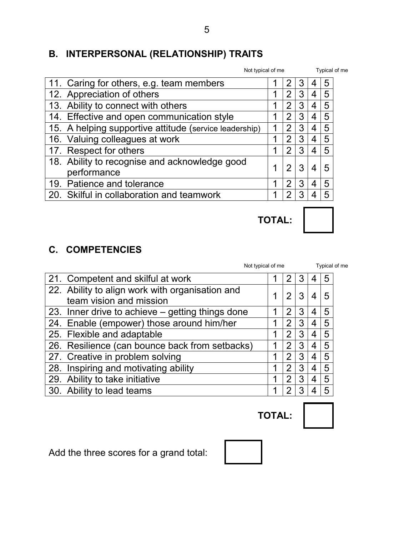# **B. INTERPERSONAL (RELATIONSHIP) TRAITS**

|                                                              | Not typical of me |   |   |   | Typical of me |  |  |
|--------------------------------------------------------------|-------------------|---|---|---|---------------|--|--|
| 11. Caring for others, e.g. team members                     |                   |   | 3 |   | 5             |  |  |
| 12. Appreciation of others                                   |                   | 2 | 3 | 4 | 5             |  |  |
| 13. Ability to connect with others                           |                   | 2 | 3 | 4 | 5             |  |  |
| 14. Effective and open communication style                   |                   | 2 | 3 | 4 | 5             |  |  |
| 15. A helping supportive attitude (service leadership)       |                   | 2 | 3 | 4 | 5             |  |  |
| 16. Valuing colleagues at work                               |                   | 2 | 3 | 4 | 5             |  |  |
| 17. Respect for others                                       |                   | 2 | 3 | 4 | 5             |  |  |
| 18. Ability to recognise and acknowledge good<br>performance |                   | 2 | 3 | 4 | 5             |  |  |
| 19. Patience and tolerance                                   |                   | 2 | 3 | 4 | 5             |  |  |
| 20. Skilful in collaboration and teamwork                    |                   | າ | 3 | 4 | 5             |  |  |

**C. COMPETENCIES** 

|                                                                            | Not typical of me |                |   | Typical of me |   |  |
|----------------------------------------------------------------------------|-------------------|----------------|---|---------------|---|--|
| 21. Competent and skilful at work                                          |                   |                |   |               | 5 |  |
| 22. Ability to align work with organisation and<br>team vision and mission |                   | 2              | 3 | 4             | 5 |  |
| 23. Inner drive to achieve – getting things done                           |                   | 2              | 3 | 4             | 5 |  |
| 24. Enable (empower) those around him/her                                  |                   | 2              | 3 | 4             | 5 |  |
| 25. Flexible and adaptable                                                 |                   | 2              | 3 | 4             | 5 |  |
| 26. Resilience (can bounce back from setbacks)                             |                   | 2              | 3 | 4             | 5 |  |
| 27. Creative in problem solving                                            |                   | $\overline{2}$ | 3 | 4             | 5 |  |
| 28. Inspiring and motivating ability                                       |                   | 2              | 3 | 4             | 5 |  |
| 29. Ability to take initiative                                             |                   | 2              | 3 | 4             | 5 |  |
| 30. Ability to lead teams                                                  |                   |                |   |               | 5 |  |

Add the three scores for a grand total:



**TOTAL:** 

**TOTAL:**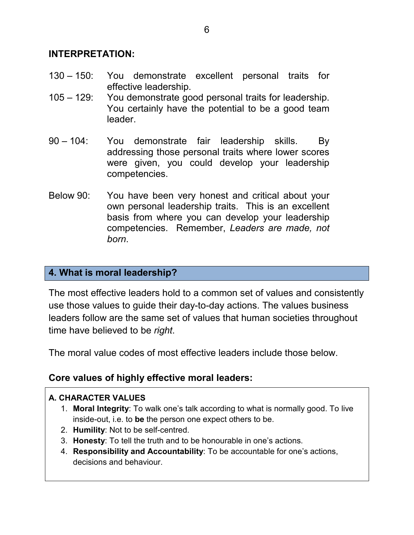#### **INTERPRETATION:**

- $130 150$ : You demonstrate excellent personal traits for effective leadership.
- $105 129$ : You demonstrate good personal traits for leadership. You certainly have the potential to be a good team leader.
- $90 104$ : You demonstrate fair leadership skills. By addressing those personal traits where lower scores were given, you could develop your leadership competencies.
- Below 90: You have been very honest and critical about your own personal leadership traits. This is an excellent basis from where you can develop your leadership competencies. Remember, *Leaders are made, not born*.

### **4. What is moral leadership?**

The most effective leaders hold to a common set of values and consistently use those values to guide their day-to-day actions. The values business leaders follow are the same set of values that human societies throughout time have believed to be *right*.

The moral value codes of most effective leaders include those below.

## **Core values of highly effective moral leaders:**

#### **A. CHARACTER VALUES**

- 1. **Moral Integrity**: To walk one's talk according to what is normally good. To live inside-out, i.e. to **be** the person one expect others to be.
- 2. **Humility**: Not to be self-centred.
- 3. **Honesty**: To tell the truth and to be honourable in one's actions.
- 4. **Responsibility and Accountability**: To be accountable for one's actions, decisions and behaviour.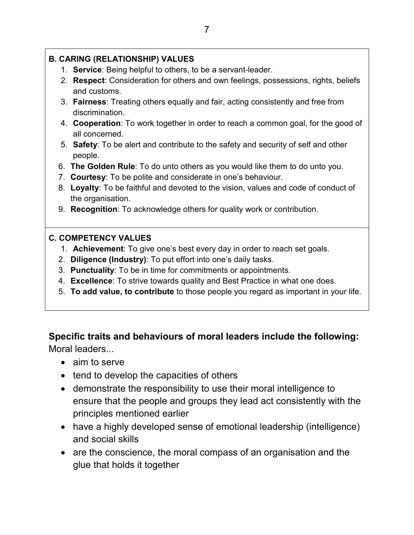#### **B. CARING (RELATIONSHIP) VALUES**

- 1. **Service**: Being helpful to others, to be a servant-leader.
- 2. **Respect**: Consideration for others and own feelings, possessions, rights, beliefs and customs.
- 3. **Fairness**: Treating others equally and fair, acting consistently and free from discrimination.
- 4. **Cooperation**: To work together in order to reach a common goal, for the good of all concerned.
- 5. **Safety**: To be alert and contribute to the safety and security of self and other people.
- 6. **The Golden Rule**: To do unto others as you would like them to do unto you.
- 7. **Courtesy**: To be polite and considerate in one's behaviour.
- 8. **Loyalty**: To be faithful and devoted to the vision, values and code of conduct of the organisation.
- 9. **Recognition**: To acknowledge others for quality work or contribution.

#### **C. COMPETENCY VALUES**

- 1. **Achievement**: To give one's best every day in order to reach set goals.
- 2. **Diligence (Industry)**: To put effort into one's daily tasks.
- 3. **Punctuality**: To be in time for commitments or appointments.
- 4. **Excellence**: To strive towards quality and Best Practice in what one does.
- 5. **To add value, to contribute** to those people you regard as important in your life.

# **Specific traits and behaviours of moral leaders include the following:**

Moral leaders...

- aim to serve
- tend to develop the capacities of others
- demonstrate the responsibility to use their moral intelligence to ensure that the people and groups they lead act consistently with the principles mentioned earlier
- have a highly developed sense of emotional leadership (intelligence) and social skills
- are the conscience, the moral compass of an organisation and the glue that holds it together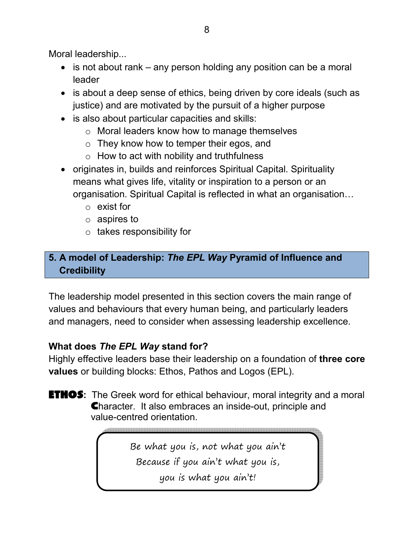Moral leadership...

- is not about rank any person holding any position can be a moral leader
- is about a deep sense of ethics, being driven by core ideals (such as justice) and are motivated by the pursuit of a higher purpose
- is also about particular capacities and skills:
	- o Moral leaders know how to manage themselves
	- o They know how to temper their egos, and
	- $\circ$  How to act with nobility and truthfulness
- originates in, builds and reinforces Spiritual Capital. Spirituality means what gives life, vitality or inspiration to a person or an organisation. Spiritual Capital is reflected in what an organisation...
	- o exist for
	- o aspires to
	- o takes responsibility for

# **5. A model of Leadership:** *The EPL Way* **Pyramid of Influence and Credibility**

The leadership model presented in this section covers the main range of values and behaviours that every human being, and particularly leaders and managers, need to consider when assessing leadership excellence.

# **What does** *The EPL Way* **stand for?**

Highly effective leaders base their leadership on a foundation of **three core values** or building blocks: Ethos, Pathos and Logos (EPL).

## **ETHOS:** The Greek word for ethical behaviour, moral integrity and a moral Character. It also embraces an inside-out, principle and value-centred orientation.

Be what you is, not what you ain't Because if you ain't what you is, you is what you ain't!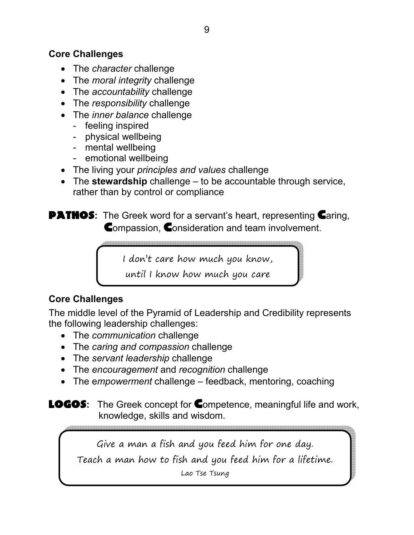### **Core Challenges**

- The *character* challenge
- The *moral integrity* challenge
- The *accountability* challenge
- The *responsibility* challenge
- The *inner balance* challenge
	- feeling inspired
	- physical wellbeing
	- mental wellbeing
	- emotional wellbeing
- The living your *principles and values* challenge
- The **stewardship** challenge to be accountable through service, rather than by control or compliance

**PATHOS:** The Greek word for a servant's heart, representing Caring, Compassion, Consideration and team involvement.

I don't care how much you know,

until I know how much you care

# **Core Challenges**

The middle level of the Pyramid of Leadership and Credibility represents the following leadership challenges:

- The *communication* challenge
- The *caring and compassion* challenge
- The *servant leadership* challenge
- The *encouragement* and *recognition* challenge
- The e*mpowerment* challenge feedback, mentoring, coaching

LOGOS**:** The Greek concept for Competence, meaningful life and work, knowledge, skills and wisdom.

Give a man a fish and you feed him for one day. Teach a man how to fish and you feed him for a lifetime. Lao Tse Tsung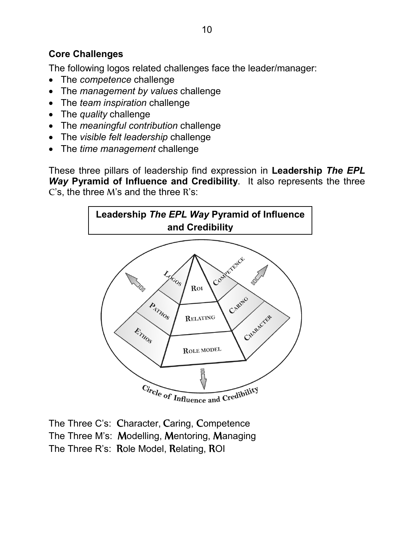## **Core Challenges**

The following logos related challenges face the leader/manager:

- The *competence* challenge
- The *management by values* challenge
- The *team inspiration* challenge
- The *quality* challenge
- The *meaningful contribution* challenge
- The *visible felt leadership* challenge
- The *time management* challenge

These three pillars of leadership find expression in **Leadership** *The EPL Way* **Pyramid of Influence and Credibility**. It also represents the three C's, the three M's and the three R's:



The Three C's: Character, Caring, Competence The Three M's: Modelling, Mentoring, Managing The Three R's: Role Model, Relating, ROI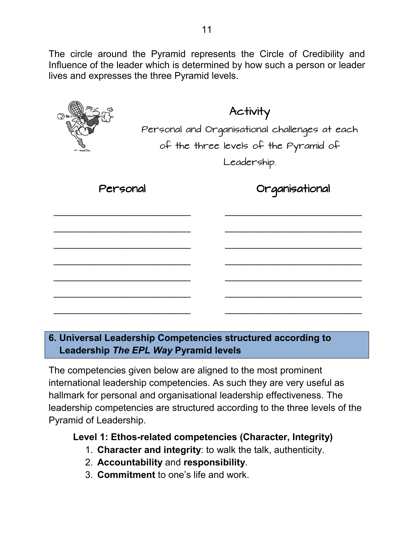The circle around the Pyramid represents the Circle of Credibility and Influence of the leader which is determined by how such a person or leader lives and expresses the three Pyramid levels.

Activity Personal and Organisational challenges at each of the three levels of the Pyramid of Leadership. Personal \_\_\_\_\_\_\_\_\_\_\_\_\_\_\_\_\_\_\_\_\_\_\_\_\_\_ \_\_\_\_\_\_\_\_\_\_\_\_\_\_\_\_\_\_\_\_\_\_\_\_\_\_ \_\_\_\_\_\_\_\_\_\_\_\_\_\_\_\_\_\_\_\_\_\_\_\_\_\_ \_\_\_\_\_\_\_\_\_\_\_\_\_\_\_\_\_\_\_\_\_\_\_\_\_\_ \_\_\_\_\_\_\_\_\_\_\_\_\_\_\_\_\_\_\_\_\_\_\_\_\_\_ \_\_\_\_\_\_\_\_\_\_\_\_\_\_\_\_\_\_\_\_\_\_\_\_\_\_ \_\_\_\_\_\_\_\_\_\_\_\_\_\_\_\_\_\_\_\_\_\_\_\_\_\_ Organisational \_\_\_\_\_\_\_\_\_\_\_\_\_\_\_\_\_\_\_\_\_\_\_\_\_\_ \_\_\_\_\_\_\_\_\_\_\_\_\_\_\_\_\_\_\_\_\_\_\_\_\_\_ \_\_\_\_\_\_\_\_\_\_\_\_\_\_\_\_\_\_\_\_\_\_\_\_\_\_ \_\_\_\_\_\_\_\_\_\_\_\_\_\_\_\_\_\_\_\_\_\_\_\_\_\_ \_\_\_\_\_\_\_\_\_\_\_\_\_\_\_\_\_\_\_\_\_\_\_\_\_\_ \_\_\_\_\_\_\_\_\_\_\_\_\_\_\_\_\_\_\_\_\_\_\_\_\_\_ \_\_\_\_\_\_\_\_\_\_\_\_\_\_\_\_\_\_\_\_\_\_\_\_\_\_

# **6. Universal Leadership Competencies structured according to Leadership** *The EPL Way* **Pyramid levels**

The competencies given below are aligned to the most prominent international leadership competencies. As such they are very useful as hallmark for personal and organisational leadership effectiveness. The leadership competencies are structured according to the three levels of the Pyramid of Leadership.

## **Level 1: Ethos-related competencies (Character, Integrity)**

- 1. **Character and integrity**: to walk the talk, authenticity.
- 2. **Accountability** and **responsibility**.
- 3. **Commitment** to one's life and work.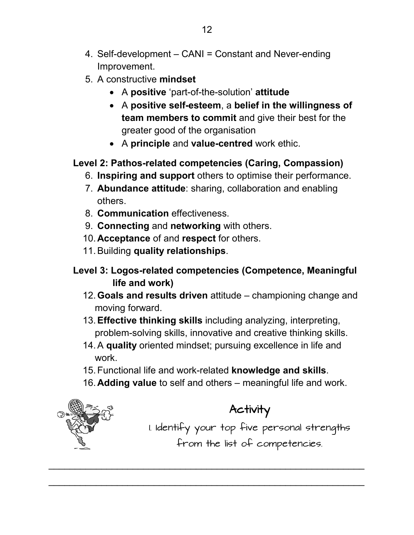- 4. Self-development CANI = Constant and Never-ending Improvement.
- 5. A constructive **mindset**
	- A **positive** 'part-of-the-solution' **attitude**
	- A **positive self-esteem**, a **belief in the willingness of team members to commit** and give their best for the greater good of the organisation
	- A **principle** and **value-centred** work ethic.

# **Level 2: Pathos-related competencies (Caring, Compassion)**

- 6. **Inspiring and support** others to optimise their performance.
- 7. **Abundance attitude**: sharing, collaboration and enabling others.
- 8. **Communication** effectiveness.
- 9. **Connecting** and **networking** with others.
- 10. **Acceptance** of and **respect** for others.
- 11. Building **quality relationships**.
- **Level 3: Logos-related competencies (Competence, Meaningful life and work)** 
	- 12. **Goals and results driven** attitude championing change and moving forward.
	- 13. **Effective thinking skills** including analyzing, interpreting, problem-solving skills, innovative and creative thinking skills.
	- 14. A **quality** oriented mindset; pursuing excellence in life and work.
	- 15. Functional life and work-related **knowledge and skills**.

\_\_\_\_\_\_\_\_\_\_\_\_\_\_\_\_\_\_\_\_\_\_\_\_\_\_\_\_\_\_\_\_\_\_\_\_\_\_\_\_\_\_\_\_\_\_\_\_\_\_\_\_\_\_\_\_\_\_\_\_

\_\_\_\_\_\_\_\_\_\_\_\_\_\_\_\_\_\_\_\_\_\_\_\_\_\_\_\_\_\_\_\_\_\_\_\_\_\_\_\_\_\_\_\_\_\_\_\_\_\_\_\_\_\_\_\_\_\_\_\_

16. **Adding value** to self and others – meaningful life and work.



# Activity

1. Identify your top five personal strengths from the list of competencies.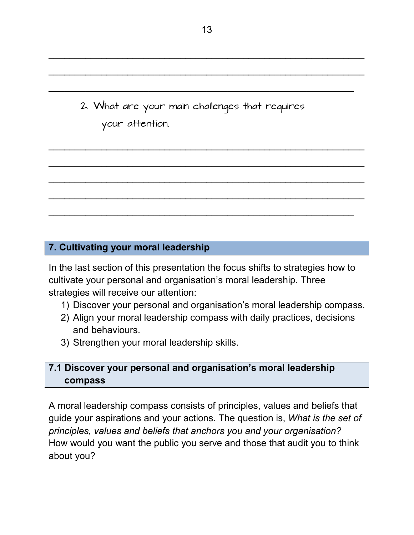2. What are your main challenges that requires your attention.

## **7. Cultivating your moral leadership**

In the last section of this presentation the focus shifts to strategies how to cultivate your personal and organisation's moral leadership. Three strategies will receive our attention:

- 1) Discover your personal and organisation's moral leadership compass.
- 2) Align your moral leadership compass with daily practices, decisions and behaviours.
- 3) Strengthen your moral leadership skills.

## **7.1 Discover your personal and organisation's moral leadership compass**

A moral leadership compass consists of principles, values and beliefs that guide your aspirations and your actions. The question is, *What is the set of principles, values and beliefs that anchors you and your organisation?* How would you want the public you serve and those that audit you to think about you?

\_\_\_\_\_\_\_\_\_\_\_\_\_\_\_\_\_\_\_\_\_\_\_\_\_\_\_\_\_\_\_\_\_\_\_\_\_\_\_\_\_\_\_\_\_\_\_\_\_\_\_\_\_\_\_\_\_\_\_\_

\_\_\_\_\_\_\_\_\_\_\_\_\_\_\_\_\_\_\_\_\_\_\_\_\_\_\_\_\_\_\_\_\_\_\_\_\_\_\_\_\_\_\_\_\_\_\_\_\_\_\_\_\_\_\_\_\_\_\_\_

\_\_\_\_\_\_\_\_\_\_\_\_\_\_\_\_\_\_\_\_\_\_\_\_\_\_\_\_\_\_\_\_\_\_\_\_\_\_\_\_\_\_\_\_\_\_\_\_\_\_\_\_\_\_\_\_\_\_\_\_

\_\_\_\_\_\_\_\_\_\_\_\_\_\_\_\_\_\_\_\_\_\_\_\_\_\_\_\_\_\_\_\_\_\_\_\_\_\_\_\_\_\_\_\_\_\_\_\_\_\_\_\_\_\_\_\_\_\_\_\_

\_\_\_\_\_\_\_\_\_\_\_\_\_\_\_\_\_\_\_\_\_\_\_\_\_\_\_\_\_\_\_\_\_\_\_\_\_\_\_\_\_\_\_\_\_\_\_\_\_\_\_\_\_\_\_\_\_\_\_\_

\_\_\_\_\_\_\_\_\_\_\_\_\_\_\_\_\_\_\_\_\_\_\_\_\_\_\_\_\_\_\_\_\_\_\_\_\_\_\_\_\_\_\_\_\_\_\_\_\_\_\_\_\_\_\_\_\_\_\_\_

\_\_\_\_\_\_\_\_\_\_\_\_\_\_\_\_\_\_\_\_\_\_\_\_\_\_\_\_\_\_\_\_\_\_\_\_\_\_\_\_\_\_\_\_\_\_\_\_\_\_\_\_\_\_\_\_\_\_

\_\_\_\_\_\_\_\_\_\_\_\_\_\_\_\_\_\_\_\_\_\_\_\_\_\_\_\_\_\_\_\_\_\_\_\_\_\_\_\_\_\_\_\_\_\_\_\_\_\_\_\_\_\_\_\_\_\_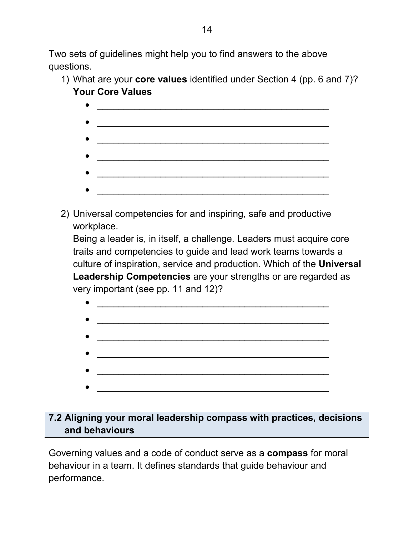Two sets of guidelines might help you to find answers to the above questions.

- 1) What are your **core values** identified under Section 4 (pp. 6 and 7)? **Your Core Values** 
	- $\bullet$  . The contract of the contract of the contract of the contract of the contract of the contract of the contract of the contract of the contract of the contract of the contract of the contract of the contract of the co  $\bullet$   $\overline{\phantom{a}}$   $\overline{\phantom{a}}$   $\overline{\phantom{a}}$   $\overline{\phantom{a}}$   $\overline{\phantom{a}}$   $\overline{\phantom{a}}$   $\overline{\phantom{a}}$   $\overline{\phantom{a}}$   $\overline{\phantom{a}}$   $\overline{\phantom{a}}$   $\overline{\phantom{a}}$   $\overline{\phantom{a}}$   $\overline{\phantom{a}}$   $\overline{\phantom{a}}$   $\overline{\phantom{a}}$   $\overline{\phantom{a}}$   $\overline{\phantom{a}}$   $\overline{\phantom{a}}$  • \_\_\_\_\_\_\_\_\_\_\_\_\_\_\_\_\_\_\_\_\_\_\_\_\_\_\_\_\_\_\_\_\_\_\_\_\_\_\_\_\_\_\_\_  $\bullet$   $\overline{\phantom{a}}$   $\overline{\phantom{a}}$   $\overline{\phantom{a}}$   $\overline{\phantom{a}}$   $\overline{\phantom{a}}$   $\overline{\phantom{a}}$   $\overline{\phantom{a}}$   $\overline{\phantom{a}}$   $\overline{\phantom{a}}$   $\overline{\phantom{a}}$   $\overline{\phantom{a}}$   $\overline{\phantom{a}}$   $\overline{\phantom{a}}$   $\overline{\phantom{a}}$   $\overline{\phantom{a}}$   $\overline{\phantom{a}}$   $\overline{\phantom{a}}$   $\overline{\phantom{a}}$   $\bullet$   $\overline{\phantom{a}}$   $\overline{\phantom{a}}$   $\overline{\phantom{a}}$   $\overline{\phantom{a}}$   $\overline{\phantom{a}}$   $\overline{\phantom{a}}$   $\overline{\phantom{a}}$   $\overline{\phantom{a}}$   $\overline{\phantom{a}}$   $\overline{\phantom{a}}$   $\overline{\phantom{a}}$   $\overline{\phantom{a}}$   $\overline{\phantom{a}}$   $\overline{\phantom{a}}$   $\overline{\phantom{a}}$   $\overline{\phantom{a}}$   $\overline{\phantom{a}}$   $\overline{\phantom{a}}$
- 2) Universal competencies for and inspiring, safe and productive workplace.

Being a leader is, in itself, a challenge. Leaders must acquire core traits and competencies to guide and lead work teams towards a culture of inspiration, service and production. Which of the **Universal Leadership Competencies** are your strengths or are regarded as very important (see pp. 11 and 12)?



# **7.2 Aligning your moral leadership compass with practices, decisions and behaviours**

Governing values and a code of conduct serve as a **compass** for moral behaviour in a team. It defines standards that guide behaviour and performance.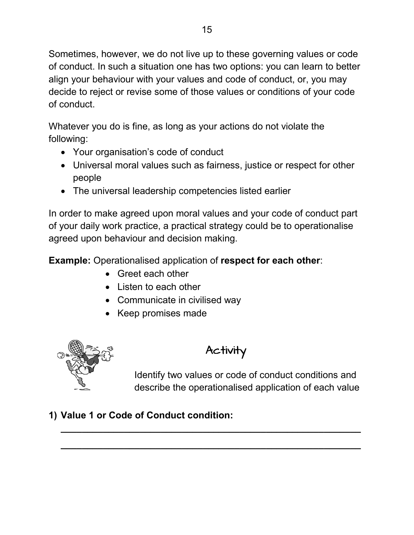Sometimes, however, we do not live up to these governing values or code of conduct. In such a situation one has two options: you can learn to better align your behaviour with your values and code of conduct, or, you may decide to reject or revise some of those values or conditions of your code of conduct.

Whatever you do is fine, as long as your actions do not violate the following:

- Your organisation's code of conduct
- Universal moral values such as fairness, justice or respect for other people
- The universal leadership competencies listed earlier

In order to make agreed upon moral values and your code of conduct part of your daily work practice, a practical strategy could be to operationalise agreed upon behaviour and decision making.

**Example:** Operationalised application of **respect for each other**:

- Greet each other
- Listen to each other
- Communicate in civilised way
- Keep promises made



# Activity

**\_\_\_\_\_\_\_\_\_\_\_\_\_\_\_\_\_\_\_\_\_\_\_\_\_\_\_\_\_\_\_\_\_\_\_\_\_\_\_\_\_\_\_\_\_\_\_\_\_\_\_\_\_\_\_\_\_**

**\_\_\_\_\_\_\_\_\_\_\_\_\_\_\_\_\_\_\_\_\_\_\_\_\_\_\_\_\_\_\_\_\_\_\_\_\_\_\_\_\_\_\_\_\_\_\_\_\_\_\_\_\_\_\_\_\_** 

Identify two values or code of conduct conditions and describe the operationalised application of each value

# **1) Value 1 or Code of Conduct condition:**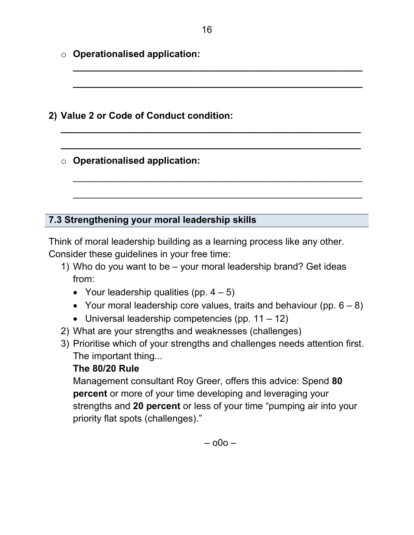- o **Operationalised application:**
- **2) Value 2 or Code of Conduct condition:** 
	- o **Operationalised application:**

## **7.3 Strengthening your moral leadership skills**

Think of moral leadership building as a learning process like any other. Consider these guidelines in your free time:

- 1) Who do you want to be your moral leadership brand? Get ideas from:
	- Your leadership qualities (pp.  $4 5$ )
	- Your moral leadership core values, traits and behaviour (pp.  $6 8$ )
	- Universal leadership competencies (pp.  $11 12$ )
- 2) What are your strengths and weaknesses (challenges)
- 3) Prioritise which of your strengths and challenges needs attention first. The important thing...

## **The 80/20 Rule**

Management consultant Roy Greer, offers this advice: Spend **80 percent** or more of your time developing and leveraging your strengths and **20 percent** or less of your time "pumping air into your priority flat spots (challenges)."

**\_\_\_\_\_\_\_\_\_\_\_\_\_\_\_\_\_\_\_\_\_\_\_\_\_\_\_\_\_\_\_\_\_\_\_\_\_\_\_\_\_\_\_\_\_\_\_\_\_\_\_\_\_\_\_**

**\_\_\_\_\_\_\_\_\_\_\_\_\_\_\_\_\_\_\_\_\_\_\_\_\_\_\_\_\_\_\_\_\_\_\_\_\_\_\_\_\_\_\_\_\_\_\_\_\_\_\_\_\_\_\_** 

**\_\_\_\_\_\_\_\_\_\_\_\_\_\_\_\_\_\_\_\_\_\_\_\_\_\_\_\_\_\_\_\_\_\_\_\_\_\_\_\_\_\_\_\_\_\_\_\_\_\_\_\_\_\_\_\_\_**

**\_\_\_\_\_\_\_\_\_\_\_\_\_\_\_\_\_\_\_\_\_\_\_\_\_\_\_\_\_\_\_\_\_\_\_\_\_\_\_\_\_\_\_\_\_\_\_\_\_\_\_\_\_\_\_\_\_** 

\_\_\_\_\_\_\_\_\_\_\_\_\_\_\_\_\_\_\_\_\_\_\_\_\_\_\_\_\_\_\_\_\_\_\_\_\_\_\_\_\_\_\_\_\_\_\_\_\_\_\_\_\_\_\_

\_\_\_\_\_\_\_\_\_\_\_\_\_\_\_\_\_\_\_\_\_\_\_\_\_\_\_\_\_\_\_\_\_\_\_\_\_\_\_\_\_\_\_\_\_\_\_\_\_\_\_\_\_\_\_

– o0o –